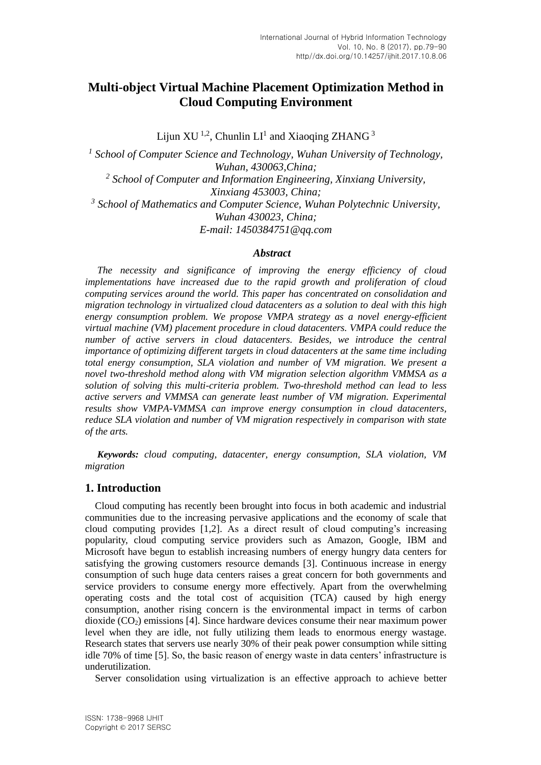## **Multi-object Virtual Machine Placement Optimization Method in Cloud Computing Environment**

Lijun XU<sup>1,2</sup>, Chunlin LI<sup>1</sup> and Xiaoqing ZHANG<sup>3</sup>

*1 School of Computer Science and Technology, Wuhan University of Technology, Wuhan, 430063,China; 2 School of Computer and Information Engineering, Xinxiang University, Xinxiang 453003, China; 3 School of Mathematics and Computer Science, Wuhan Polytechnic University, Wuhan 430023, China; E-mail: [1450384751@qq.com](mailto:1450384751@qq.com)*

#### *Abstract*

*The necessity and significance of improving the energy efficiency of cloud implementations have increased due to the rapid growth and proliferation of cloud computing services around the world. This paper has concentrated on consolidation and migration technology in virtualized cloud datacenters as a solution to deal with this high energy consumption problem. We propose VMPA strategy as a novel energy-efficient virtual machine (VM) placement procedure in cloud datacenters. VMPA could reduce the number of active servers in cloud datacenters. Besides, we introduce the central importance of optimizing different targets in cloud datacenters at the same time including total energy consumption, SLA violation and number of VM migration. We present a novel two-threshold method along with VM migration selection algorithm VMMSA as a solution of solving this multi-criteria problem. Two-threshold method can lead to less active servers and VMMSA can generate least number of VM migration. Experimental results show VMPA-VMMSA can improve energy consumption in cloud datacenters, reduce SLA violation and number of VM migration respectively in comparison with state of the arts.*

*Keywords: cloud computing, datacenter, energy consumption, SLA violation, VM migration*

## **1. Introduction**

Cloud computing has recently been brought into focus in both academic and industrial communities due to the increasing pervasive applications and the economy of scale that cloud computing provides [1,2]. As a direct result of cloud computing's increasing popularity, cloud computing service providers such as Amazon, Google, IBM and Microsoft have begun to establish increasing numbers of energy hungry data centers for satisfying the growing customers resource demands [3]. Continuous increase in energy consumption of such huge data centers raises a great concern for both governments and service providers to consume energy more effectively. Apart from the overwhelming operating costs and the total cost of acquisition (TCA) caused by high energy consumption, another rising concern is the environmental impact in terms of carbon dioxide  $(CO<sub>2</sub>)$  emissions [4]. Since hardware devices consume their near maximum power level when they are idle, not fully utilizing them leads to enormous energy wastage. Research states that servers use nearly 30% of their peak power consumption while sitting idle 70% of time [5]. So, the basic reason of energy waste in data centers' infrastructure is underutilization.

Server consolidation using virtualization is an effective approach to achieve better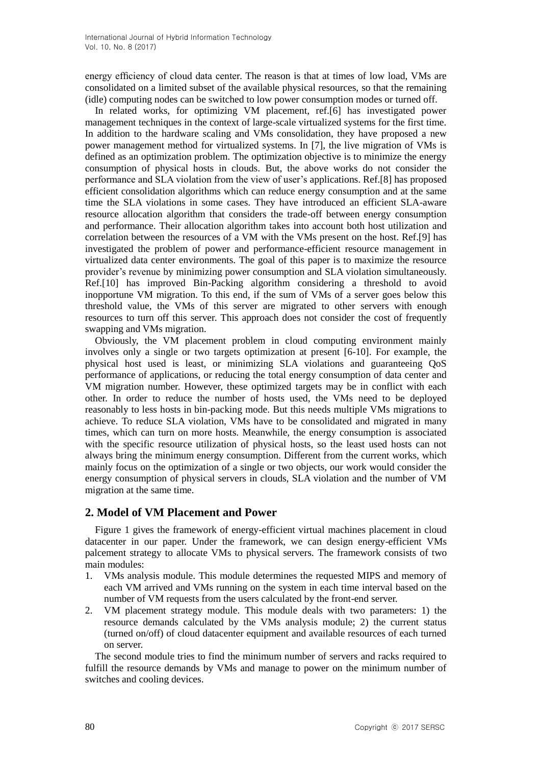energy efficiency of cloud data center. The reason is that at times of low load, VMs are consolidated on a limited subset of the available physical resources, so that the remaining (idle) computing nodes can be switched to low power consumption modes or turned off.

In related works, for optimizing VM placement, ref.[6] has investigated power management techniques in the context of large-scale virtualized systems for the first time. In addition to the hardware scaling and VMs consolidation, they have proposed a new power management method for virtualized systems. In [7], the live migration of VMs is defined as an optimization problem. The optimization objective is to minimize the energy consumption of physical hosts in clouds. But, the above works do not consider the performance and SLA violation from the view of user's applications. Ref.[8] has proposed efficient consolidation algorithms which can reduce energy consumption and at the same time the SLA violations in some cases. They have introduced an efficient SLA-aware resource allocation algorithm that considers the trade-off between energy consumption and performance. Their allocation algorithm takes into account both host utilization and correlation between the resources of a VM with the VMs present on the host. Ref.[9] has investigated the problem of power and performance-efficient resource management in virtualized data center environments. The goal of this paper is to maximize the resource provider's revenue by minimizing power consumption and SLA violation simultaneously. Ref.[10] has improved Bin-Packing algorithm considering a threshold to avoid inopportune VM migration. To this end, if the sum of VMs of a server goes below this threshold value, the VMs of this server are migrated to other servers with enough resources to turn off this server. This approach does not consider the cost of frequently swapping and VMs migration.

Obviously, the VM placement problem in cloud computing environment mainly involves only a single or two targets optimization at present [6-10]. For example, the physical host used is least, or minimizing SLA violations and guaranteeing QoS performance of applications, or reducing the total energy consumption of data center and VM migration number. However, these optimized targets may be in conflict with each other. In order to reduce the number of hosts used, the VMs need to be deployed reasonably to less hosts in bin-packing mode. But this needs multiple VMs migrations to achieve. To reduce SLA violation, VMs have to be consolidated and migrated in many times, which can turn on more hosts. Meanwhile, the energy consumption is associated with the specific resource utilization of physical hosts, so the least used hosts can not always bring the minimum energy consumption. Different from the current works, which mainly focus on the optimization of a single or two objects, our work would consider the energy consumption of physical servers in clouds, SLA violation and the number of VM migration at the same time.

## **2. Model of VM Placement and Power**

Figure 1 gives the framework of energy-efficient virtual machines placement in cloud datacenter in our paper. Under the framework, we can design energy-efficient VMs palcement strategy to allocate VMs to physical servers. The framework consists of two main modules:

- 1. VMs analysis module. This module determines the requested MIPS and memory of each VM arrived and VMs running on the system in each time interval based on the number of VM requests from the users calculated by the front-end server.
- 2. VM placement strategy module. This module deals with two parameters: 1) the resource demands calculated by the VMs analysis module; 2) the current status (turned on/off) of cloud datacenter equipment and available resources of each turned on server.

The second module tries to find the minimum number of servers and racks required to fulfill the resource demands by VMs and manage to power on the minimum number of switches and cooling devices.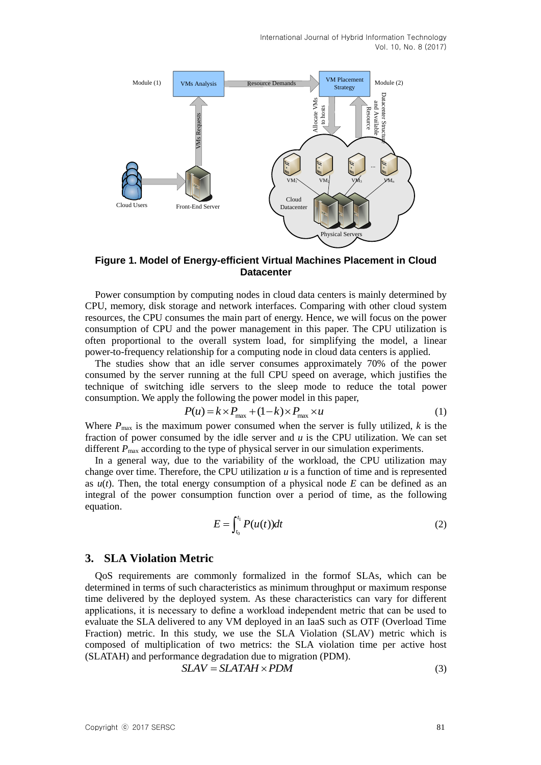

**Figure 1. Model of Energy-efficient Virtual Machines Placement in Cloud Datacenter**

Power consumption by computing nodes in cloud data centers is mainly determined by CPU, memory, disk storage and network interfaces. Comparing with other cloud system resources, the CPU consumes the main part of energy. Hence, we will focus on the power consumption of CPU and the power management in this paper. The CPU utilization is often proportional to the overall system load, for simplifying the model, a linear power-to-frequency relationship for a computing node in cloud data centers is applied.

The studies show that an idle server consumes approximately 70% of the power consumed by the server running at the full CPU speed on average, which justifies the technique of switching idle servers to the sleep mode to reduce the total power consumption. We apply the following the power model in this paper,<br>  $P(u) = k \times P_{\text{max}} + (1 - k) \times P_{\text{max}} \times u$  (1)

$$
P(u) = k \times P_{\text{max}} + (1 - k) \times P_{\text{max}} \times u \tag{1}
$$

Where  $P_{\text{max}}$  is the maximum power consumed when the server is fully utilized,  $k$  is the fraction of power consumed by the idle server and  $u$  is the CPU utilization. We can set different  $P_{\text{max}}$  according to the type of physical server in our simulation experiments.

In a general way, due to the variability of the workload, the CPU utilization may change over time. Therefore, the CPU utilization *u* is a function of time and is represented as  $u(t)$ . Then, the total energy consumption of a physical node  $E$  can be defined as an integral of the power consumption function over a period of time, as the following equation.

$$
E = \int_{t_0}^{t_1} P(u(t))dt
$$
 (2)

## **3. SLA Violation Metric**

QoS requirements are commonly formalized in the formof SLAs, which can be determined in terms of such characteristics as minimum throughput or maximum response time delivered by the deployed system. As these characteristics can vary for different applications, it is necessary to define a workload independent metric that can be used to evaluate the SLA delivered to any VM deployed in an IaaS such as OTF (Overload Time Fraction) metric. In this study, we use the SLA Violation (SLAV) metric which is composed of multiplication of two metrics: the SLA violation time per active host (SLATAH) and performance degradation due to migration (PDM).<br>  $SLAV = SLATAH \times PDM$  (3)

$$
SLAV = SLATAH \times PDM
$$
\n(3)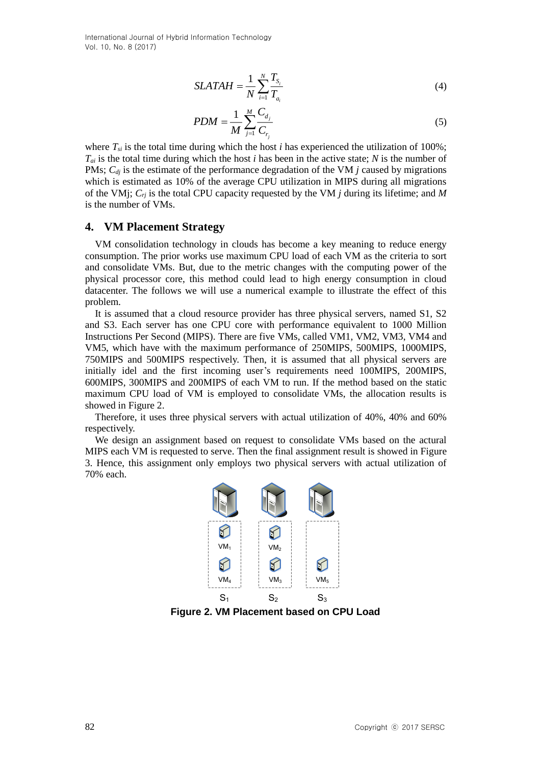$$
SLATAH = \frac{1}{N} \sum_{i=1}^{N} \frac{T_{S_i}}{T_{a_i}}
$$
(4)

$$
PDM = \frac{1}{M} \sum_{j=1}^{M} \frac{C_{d_j}}{C_{r_i}}
$$
 (5)

where  $T_{si}$  is the total time during which the host *i* has experienced the utilization of 100%; *Tai* is the total time during which the host *i* has been in the active state; *N* is the number of PMs;  $C_{dj}$  is the estimate of the performance degradation of the VM *j* caused by migrations which is estimated as 10% of the average CPU utilization in MIPS during all migrations of the VMj; *Crj* is the total CPU capacity requested by the VM *j* during its lifetime; and *M* is the number of VMs.

## **4. VM Placement Strategy**

VM consolidation technology in clouds has become a key meaning to reduce energy consumption. The prior works use maximum CPU load of each VM as the criteria to sort and consolidate VMs. But, due to the metric changes with the computing power of the physical processor core, this method could lead to high energy consumption in cloud datacenter. The follows we will use a numerical example to illustrate the effect of this problem.

It is assumed that a cloud resource provider has three physical servers, named S1, S2 and S3. Each server has one CPU core with performance equivalent to 1000 Million Instructions Per Second (MIPS). There are five VMs, called VM1, VM2, VM3, VM4 and VM5, which have with the maximum performance of 250MIPS, 500MIPS, 1000MIPS, 750MIPS and 500MIPS respectively. Then, it is assumed that all physical servers are initially idel and the first incoming user's requirements need 100MIPS, 200MIPS, 600MIPS, 300MIPS and 200MIPS of each VM to run. If the method based on the static maximum CPU load of VM is employed to consolidate VMs, the allocation results is showed in Figure 2.

Therefore, it uses three physical servers with actual utilization of 40%, 40% and 60% respectively.

We design an assignment based on request to consolidate VMs based on the actural MIPS each VM is requested to serve. Then the final assignment result is showed in Figure 3. Hence, this assignment only employs two physical servers with actual utilization of 70% each.



**Figure 2. VM Placement based on CPU Load**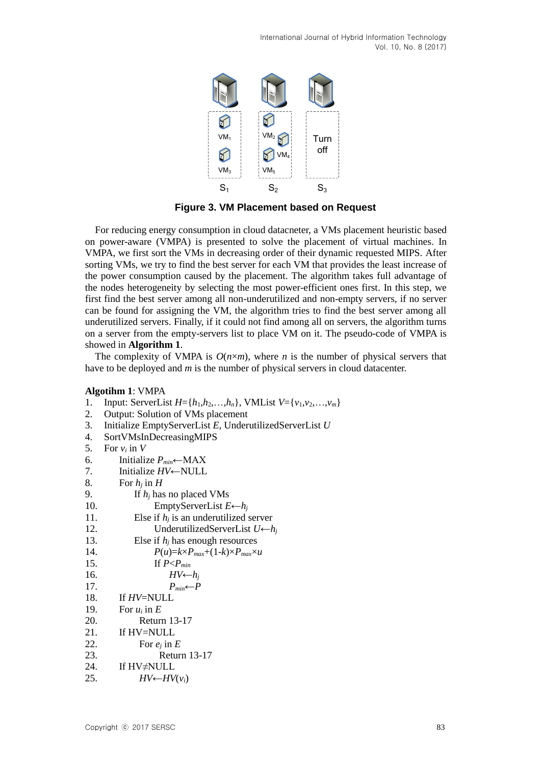

**Figure 3. VM Placement based on Request**

For reducing energy consumption in cloud datacneter, a VMs placement heuristic based on power-aware (VMPA) is presented to solve the placement of virtual machines. In VMPA, we first sort the VMs in decreasing order of their dynamic requested MIPS. After sorting VMs, we try to find the best server for each VM that provides the least increase of the power consumption caused by the placement. The algorithm takes full advantage of the nodes heterogeneity by selecting the most power-efficient ones first. In this step, we first find the best server among all non-underutilized and non-empty servers, if no server can be found for assigning the VM, the algorithm tries to find the best server among all underutilized servers. Finally, if it could not find among all on servers, the algorithm turns on a server from the empty-servers list to place VM on it. The pseudo-code of VMPA is showed in **Algorithm 1**.

The complexity of VMPA is  $O(n \times m)$ , where *n* is the number of physical servers that have to be deployed and *m* is the number of physical servers in cloud datacenter.

#### **Algotihm 1**: VMPA

- 1. Input: ServerList  $H = \{h_1, h_2, ..., h_n\}$ , VMList  $V = \{v_1, v_2, ..., v_m\}$
- 2. Output: Solution of VMs placement
- 3. Initialize EmptyServerList *E*, UnderutilizedServerList *U*
- 4. SortVMsInDecreasingMIPS
- 5. For  $v_i$  in  $V$
- 6. Initialize  $P_{min} \leftarrow MAX$
- 7. Initialize *HV*←NULL
- 8. For  $h_i$  in  $H$
- 9. If *h<sup>j</sup>* has no placed VMs 10. EmptyServerList *E*←*h<sup>j</sup>*
- 11. Else if  $h_i$  is an underutilized server 12. UnderutilizedServerList *U*←*h<sup>j</sup>* 13. Else if  $h_i$  has enough resources

| 14. | $P(u)=k\times P_{max}+(1-k)\times P_{max}\times u$ |
|-----|----------------------------------------------------|
| 15. | If $P < P_{min}$                                   |
|     |                                                    |

- 16. *HV*← $h_i$ 17.  $P_{min} \leftarrow P$
- 18. If *HV*=NULL
- 19. For  $u_i$  in  $E$
- 20. Return 13-17
- 21. If HV=NULL
- 22. For  $e_i$  in  $E$
- 23. Return 13-17
- 24. If HV≠NULL
- 25.  $HV \leftarrow HV(v_i)$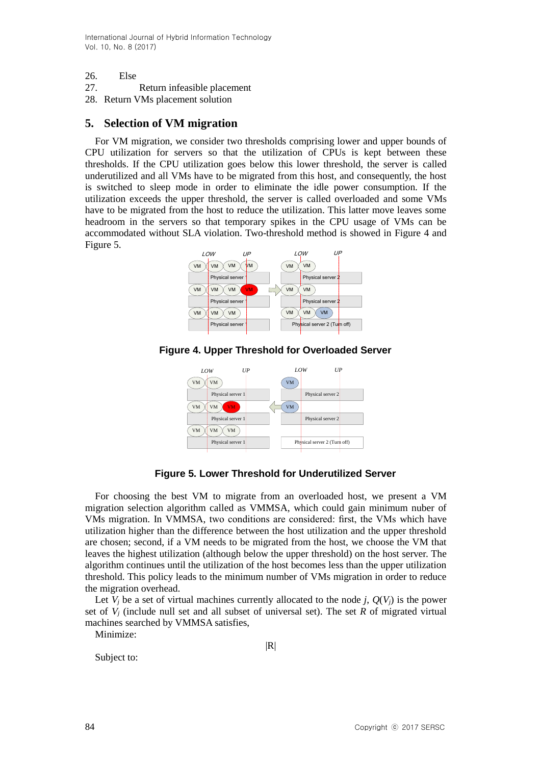- 26. Else
- 27. Return infeasible placement
- 28. Return VMs placement solution

## **5. Selection of VM migration**

For VM migration, we consider two thresholds comprising lower and upper bounds of CPU utilization for servers so that the utilization of CPUs is kept between these thresholds. If the CPU utilization goes below this lower threshold, the server is called underutilized and all VMs have to be migrated from this host, and consequently, the host is switched to sleep mode in order to eliminate the idle power consumption. If the utilization exceeds the upper threshold, the server is called overloaded and some VMs have to be migrated from the host to reduce the utilization. This latter move leaves some headroom in the servers so that temporary spikes in the CPU usage of VMs can be accommodated without SLA violation. Two-threshold method is showed in Figure 4 and Figure 5.



**Figure 4. Upper Threshold for Overloaded Server**



**Figure 5. Lower Threshold for Underutilized Server**

For choosing the best VM to migrate from an overloaded host, we present a VM migration selection algorithm called as VMMSA, which could gain minimum nuber of VMs migration. In VMMSA, two conditions are considered: first, the VMs which have utilization higher than the difference between the host utilization and the upper threshold are chosen; second, if a VM needs to be migrated from the host, we choose the VM that leaves the highest utilization (although below the upper threshold) on the host server. The algorithm continues until the utilization of the host becomes less than the upper utilization threshold. This policy leads to the minimum number of VMs migration in order to reduce the migration overhead.

Let  $V_i$  be a set of virtual machines currently allocated to the node *j*,  $Q(V_i)$  is the power set of  $V_i$  (include null set and all subset of universal set). The set  $R$  of migrated virtual machines searched by VMMSA satisfies,

Minimize:

 $|R|$ 

Subject to: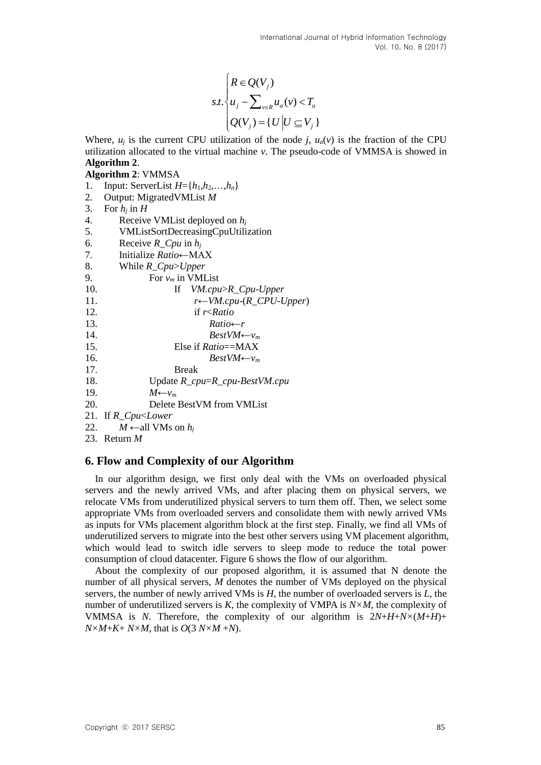$$
s.t. \begin{cases} R \in Q(V_j) \\ u_j - \sum_{v \in R} u_a(v) < T_u \\ Q(V_j) = \{ U \mid U \subseteq V_j \} \end{cases}
$$

Where,  $u_i$  is the current CPU utilization of the node *i*,  $u_a(v)$  is the fraction of the CPU utilization allocated to the virtual machine *v*. The pseudo-code of VMMSA is showed in **Algorithm 2**.

## **Algorithm 2**: VMMSA

- 1. Input: ServerList  $H = \{h_1, h_2, ..., h_n\}$
- 2. Output: MigratedVMList *M*
- 3. For  $h_i$  in  $H$
- 4. Receive VMList deployed on *h<sup>j</sup>*
- 5. VMListSortDecreasingCpuUtilization
- 6. Receive *R\_Cpu* in *h<sup>j</sup>*
- 7. Initialize *Ratio*←MAX
- 8. While *R\_Cpu*>*Upper*
- 9. For  $v_m$  in VMList
- 10. If *VM.cpu*>*R\_Cpu*-*Upper* 11. *r*←*VM.cpu*-(*R\_CPU*-*Upper*) 12. if *r*<*Ratio* 13. Ratio←*r*<br>14. *RestVM*←  $BestVM \leftarrow v_m$ 15. Else if *Ratio*==MAX 16. *BestVM*← $v_m$ 17. Break 18. Update *R\_cpu*=*R\_cpu*-*BestVM.cpu* 19.  $M \leftarrow \nu_m$ 20. Delete BestVM from VMList
- 21. If *R\_Cpu*<*Lower*
- 22. *M* ← all VMs on  $h_i$
- 23. Return *M*

## **6. Flow and Complexity of our Algorithm**

In our algorithm design, we first only deal with the VMs on overloaded physical servers and the newly arrived VMs, and after placing them on physical servers, we relocate VMs from underutilized physical servers to turn them off. Then, we select some appropriate VMs from overloaded servers and consolidate them with newly arrived VMs as inputs for VMs placement algorithm block at the first step. Finally, we find all VMs of underutilized servers to migrate into the best other servers using VM placement algorithm, which would lead to switch idle servers to sleep mode to reduce the total power consumption of cloud datacenter. Figure 6 shows the flow of our algorithm.

About the complexity of our proposed algorithm, it is assumed that N denote the number of all physical servers, *M* denotes the number of VMs deployed on the physical servers, the number of newly arrived VMs is *H*, the number of overloaded servers is *L*, the number of underutilized servers is *K*, the complexity of VMPA is *N× M*, the complexity of VMMSA is *N*. Therefore, the complexity of our algorithm is 2*N*+*H*+*N×* (*M*+*H*)+  $N \times M + K + N \times M$ , that is  $O(3 N \times M + N)$ .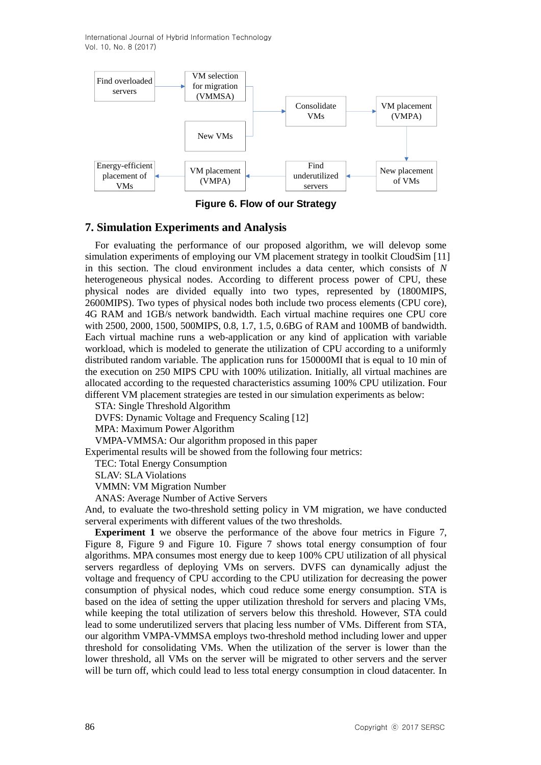

**Figure 6. Flow of our Strategy**

## **7. Simulation Experiments and Analysis**

For evaluating the performance of our proposed algorithm, we will delevop some simulation experiments of employing our VM placement strategy in toolkit CloudSim [11] in this section. The cloud environment includes a data center, which consists of *N* heterogeneous physical nodes. According to different process power of CPU, these physical nodes are divided equally into two types, represented by (1800MIPS, 2600MIPS). Two types of physical nodes both include two process elements (CPU core), 4G RAM and 1GB/s network bandwidth. Each virtual machine requires one CPU core with 2500, 2000, 1500, 500MIPS, 0.8, 1.7, 1.5, 0.6BG of RAM and 100MB of bandwidth. Each virtual machine runs a web-application or any kind of application with variable workload, which is modeled to generate the utilization of CPU according to a uniformly distributed random variable. The application runs for 150000MI that is equal to 10 min of the execution on 250 MIPS CPU with 100% utilization. Initially, all virtual machines are allocated according to the requested characteristics assuming 100% CPU utilization. Four different VM placement strategies are tested in our simulation experiments as below:

STA: Single Threshold Algorithm

DVFS: Dynamic Voltage and Frequency Scaling [12]

MPA: Maximum Power Algorithm

VMPA-VMMSA: Our algorithm proposed in this paper

Experimental results will be showed from the following four metrics:

TEC: Total Energy Consumption

SLAV: SLA Violations

VMMN: VM Migration Number

ANAS: Average Number of Active Servers

And, to evaluate the two-threshold setting policy in VM migration, we have conducted serveral experiments with different values of the two thresholds.

**Experiment 1** we observe the performance of the above four metrics in Figure 7. Figure 8, Figure 9 and Figure 10. Figure 7 shows total energy consumption of four algorithms. MPA consumes most energy due to keep 100% CPU utilization of all physical servers regardless of deploying VMs on servers. DVFS can dynamically adjust the voltage and frequency of CPU according to the CPU utilization for decreasing the power consumption of physical nodes, which coud reduce some energy consumption. STA is based on the idea of setting the upper utilization threshold for servers and placing VMs, while keeping the total utilization of servers below this threshold. However, STA could lead to some underutilized servers that placing less number of VMs. Different from STA, our algorithm VMPA-VMMSA employs two-threshold method including lower and upper threshold for consolidating VMs. When the utilization of the server is lower than the lower threshold, all VMs on the server will be migrated to other servers and the server will be turn off, which could lead to less total energy consumption in cloud datacenter. In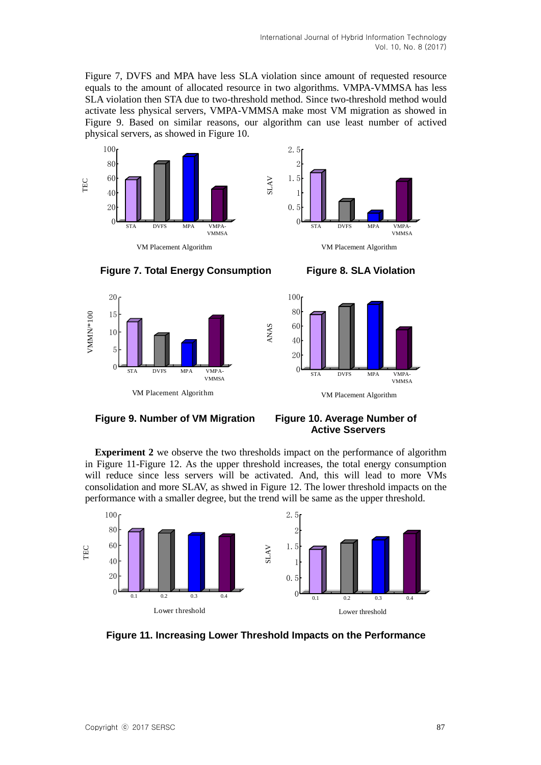Figure 7, DVFS and MPA have less SLA violation since amount of requested resource equals to the amount of allocated resource in two algorithms. VMPA-VMMSA has less SLA violation then STA due to two-threshold method. Since two-threshold method would activate less physical servers, VMPA-VMMSA make most VM migration as showed in Figure 9. Based on similar reasons, our algorithm can use least number of actived physical servers, as showed in Figure 10.











**Figure 9. Number of VM Migration Figure 10. Average Number of** 

# **Active Sservers**

**Experiment 2** we observe the two thresholds impact on the performance of algorithm in Figure 11-Figure 12. As the upper threshold increases, the total energy consumption will reduce since less servers will be activated. And, this will lead to more VMs consolidation and more SLAV, as shwed in Figure 12. The lower threshold impacts on the performance with a smaller degree, but the trend will be same as the upper threshold.

ANAS



**Figure 11. Increasing Lower Threshold Impacts on the Performance**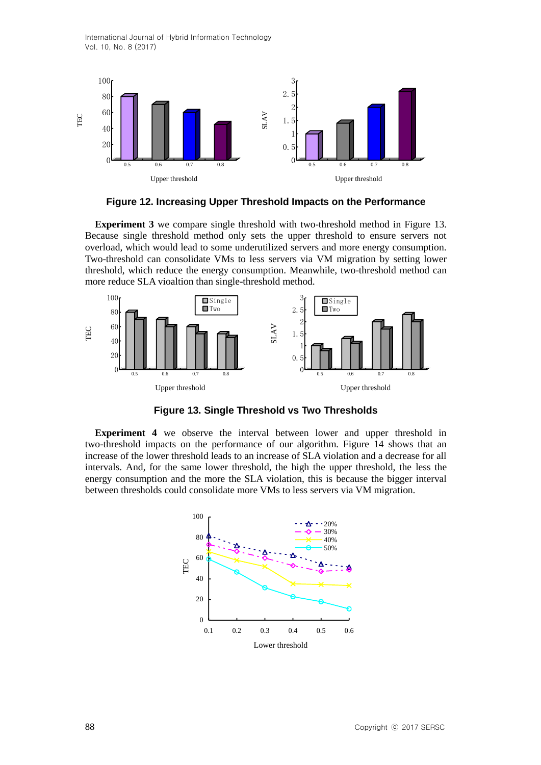

**Figure 12. Increasing Upper Threshold Impacts on the Performance**

**Experiment 3** we compare single threshold with two-threshold method in Figure 13. Because single threshold method only sets the upper threshold to ensure servers not overload, which would lead to some underutilized servers and more energy consumption. Two-threshold can consolidate VMs to less servers via VM migration by setting lower threshold, which reduce the energy consumption. Meanwhile, two-threshold method can more reduce SLA vioaltion than single-threshold method.





**Experiment 4** we observe the interval between lower and upper threshold in two-threshold impacts on the performance of our algorithm. Figure 14 shows that an increase of the lower threshold leads to an increase of SLA violation and a decrease for all intervals. And, for the same lower threshold, the high the upper threshold, the less the energy consumption and the more the SLA violation, this is because the bigger interval between thresholds could consolidate more VMs to less servers via VM migration.

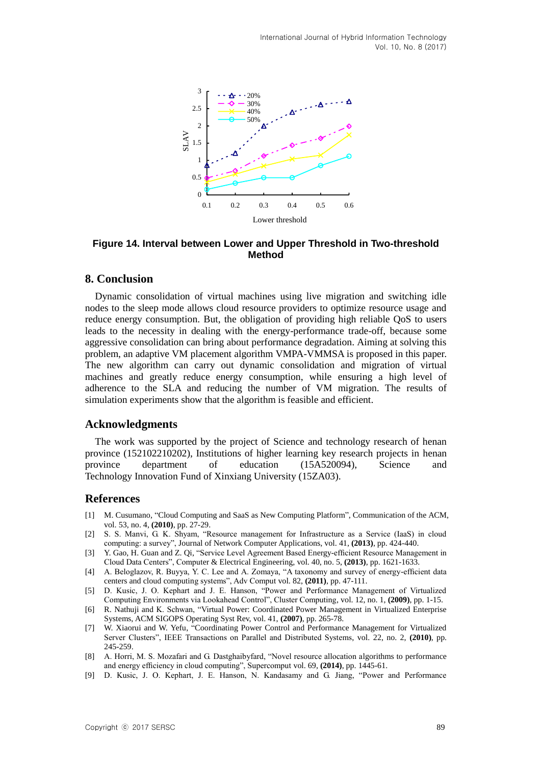

**Figure 14. Interval between Lower and Upper Threshold in Two-threshold Method**

## **8. Conclusion**

Dynamic consolidation of virtual machines using live migration and switching idle nodes to the sleep mode allows cloud resource providers to optimize resource usage and reduce energy consumption. But, the obligation of providing high reliable QoS to users leads to the necessity in dealing with the energy-performance trade-off, because some aggressive consolidation can bring about performance degradation. Aiming at solving this problem, an adaptive VM placement algorithm VMPA-VMMSA is proposed in this paper. The new algorithm can carry out dynamic consolidation and migration of virtual machines and greatly reduce energy consumption, while ensuring a high level of adherence to the SLA and reducing the number of VM migration. The results of simulation experiments show that the algorithm is feasible and efficient.

## **Acknowledgments**

The work was supported by the project of Science and technology research of henan province (152102210202), Institutions of higher learning key research projects in henan province department of education (15A520094), Science and Technology Innovation Fund of Xinxiang University (15ZA03).

## **References**

- [1] M. Cusumano, "Cloud Computing and SaaS as New Computing Platform", Communication of the ACM, vol. 53, no. 4, **(2010)**, pp. 27-29.
- [2] S. S. Manvi, G. K. Shyam, "Resource management for Infrastructure as a Service (IaaS) in cloud computing: a survey", Journal of Network Computer Applications, vol. 41, **(2013)**, pp. 424-440.
- [3] Y. Gao, H. Guan and Z. Qi, "Service Level Agreement Based Energy-efficient Resource Management in Cloud Data Centers", Computer & Electrical Engineering, vol. 40, no. 5, **(2013)**, pp. 1621-1633.
- [4] A. Beloglazov, R. Buyya, Y. C. Lee and A. Zomaya, "A taxonomy and survey of energy-efficient data centers and cloud computing systems", Adv Comput vol. 82, **(2011)**, pp. 47-111.
- [5] D. Kusic, J. O. Kephart and J. E. Hanson, "Power and Performance Management of Virtualized Computing Environments via Lookahead Control", Cluster Computing, vol. 12, no. 1, **(2009)**, pp. 1-15.
- [6] R. Nathuji and K. Schwan, "Virtual Power: Coordinated Power Management in Virtualized Enterprise Systems, ACM SIGOPS Operating Syst Rev, vol. 41, **(2007)**, pp. 265-78.
- [7] W. Xiaorui and W. Yefu, "Coordinating Power Control and Performance Management for Virtualized Server Clusters", IEEE Transactions on Parallel and Distributed Systems, vol. 22, no. 2, **(2010)**, pp. 245-259.
- [8] A. Horri, M. S. Mozafari and G. Dastghaibyfard, "Novel resource allocation algorithms to performance and energy efficiency in cloud computing", Supercomput vol. 69, **(2014)**, pp. 1445-61.
- [9] D. Kusic, J. O. Kephart, J. E. Hanson, N. Kandasamy and G. Jiang, "Power and Performance